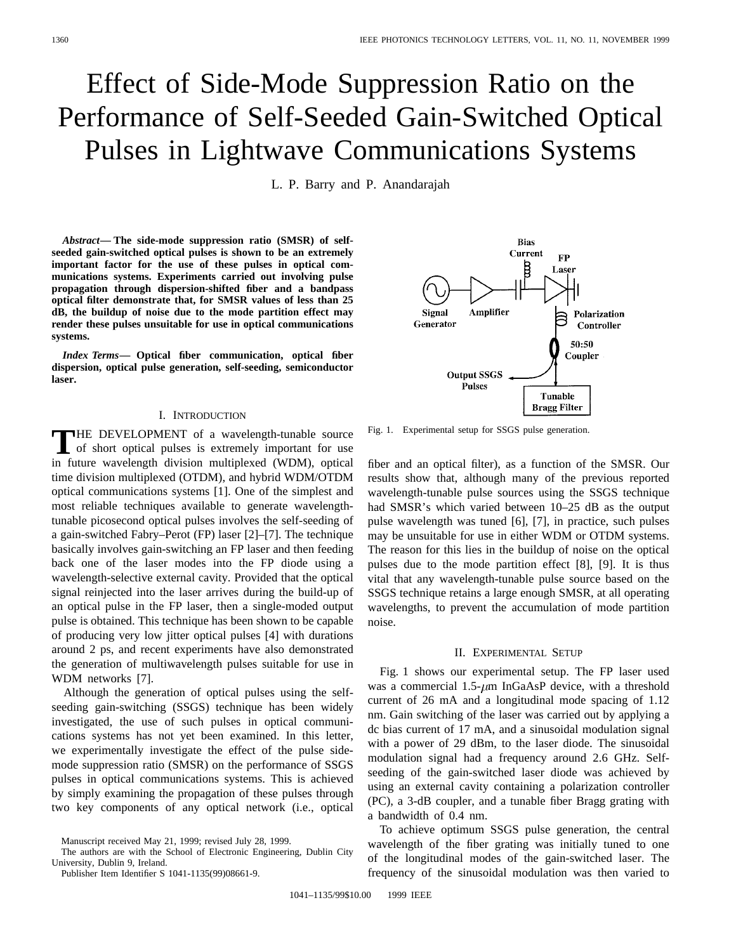# Effect of Side-Mode Suppression Ratio on the Performance of Self-Seeded Gain-Switched Optical Pulses in Lightwave Communications Systems

L. P. Barry and P. Anandarajah

*Abstract—* **The side-mode suppression ratio (SMSR) of selfseeded gain-switched optical pulses is shown to be an extremely important factor for the use of these pulses in optical communications systems. Experiments carried out involving pulse propagation through dispersion-shifted fiber and a bandpass optical filter demonstrate that, for SMSR values of less than 25 dB, the buildup of noise due to the mode partition effect may render these pulses unsuitable for use in optical communications systems.**

*Index Terms—* **Optical fiber communication, optical fiber dispersion, optical pulse generation, self-seeding, semiconductor laser.**

#### I. INTRODUCTION

THE DEVELOPMENT of a wavelength-tunable source<br>of short optical pulses is extremely important for use<br>in fitting multipliers (WDM) extinct in future wavelength division multiplexed (WDM), optical time division multiplexed (OTDM), and hybrid WDM/OTDM optical communications systems [1]. One of the simplest and most reliable techniques available to generate wavelengthtunable picosecond optical pulses involves the self-seeding of a gain-switched Fabry–Perot (FP) laser [2]–[7]. The technique basically involves gain-switching an FP laser and then feeding back one of the laser modes into the FP diode using a wavelength-selective external cavity. Provided that the optical signal reinjected into the laser arrives during the build-up of an optical pulse in the FP laser, then a single-moded output pulse is obtained. This technique has been shown to be capable of producing very low jitter optical pulses [4] with durations around 2 ps, and recent experiments have also demonstrated the generation of multiwavelength pulses suitable for use in WDM networks [7].

Although the generation of optical pulses using the selfseeding gain-switching (SSGS) technique has been widely investigated, the use of such pulses in optical communications systems has not yet been examined. In this letter, we experimentally investigate the effect of the pulse sidemode suppression ratio (SMSR) on the performance of SSGS pulses in optical communications systems. This is achieved by simply examining the propagation of these pulses through two key components of any optical network (i.e., optical

The authors are with the School of Electronic Engineering, Dublin City University, Dublin 9, Ireland.

Publisher Item Identifier S 1041-1135(99)08661-9.

Current  $\bf FP$ β Laser Amplifier **Signal** Polarization Generator Controller 50:50 Coupler **Output SSGS** Pulses Tunable **Bragg Filter** 

**Bias** 

Fig. 1. Experimental setup for SSGS pulse generation.

fiber and an optical filter), as a function of the SMSR. Our results show that, although many of the previous reported wavelength-tunable pulse sources using the SSGS technique had SMSR's which varied between 10–25 dB as the output pulse wavelength was tuned [6], [7], in practice, such pulses may be unsuitable for use in either WDM or OTDM systems. The reason for this lies in the buildup of noise on the optical pulses due to the mode partition effect [8], [9]. It is thus vital that any wavelength-tunable pulse source based on the SSGS technique retains a large enough SMSR, at all operating wavelengths, to prevent the accumulation of mode partition noise.

#### II. EXPERIMENTAL SETUP

Fig. 1 shows our experimental setup. The FP laser used was a commercial  $1.5-\mu m$  InGaAsP device, with a threshold current of 26 mA and a longitudinal mode spacing of 1.12 nm. Gain switching of the laser was carried out by applying a dc bias current of 17 mA, and a sinusoidal modulation signal with a power of 29 dBm, to the laser diode. The sinusoidal modulation signal had a frequency around 2.6 GHz. Selfseeding of the gain-switched laser diode was achieved by using an external cavity containing a polarization controller (PC), a 3-dB coupler, and a tunable fiber Bragg grating with a bandwidth of 0.4 nm.

To achieve optimum SSGS pulse generation, the central wavelength of the fiber grating was initially tuned to one of the longitudinal modes of the gain-switched laser. The frequency of the sinusoidal modulation was then varied to

Manuscript received May 21, 1999; revised July 28, 1999.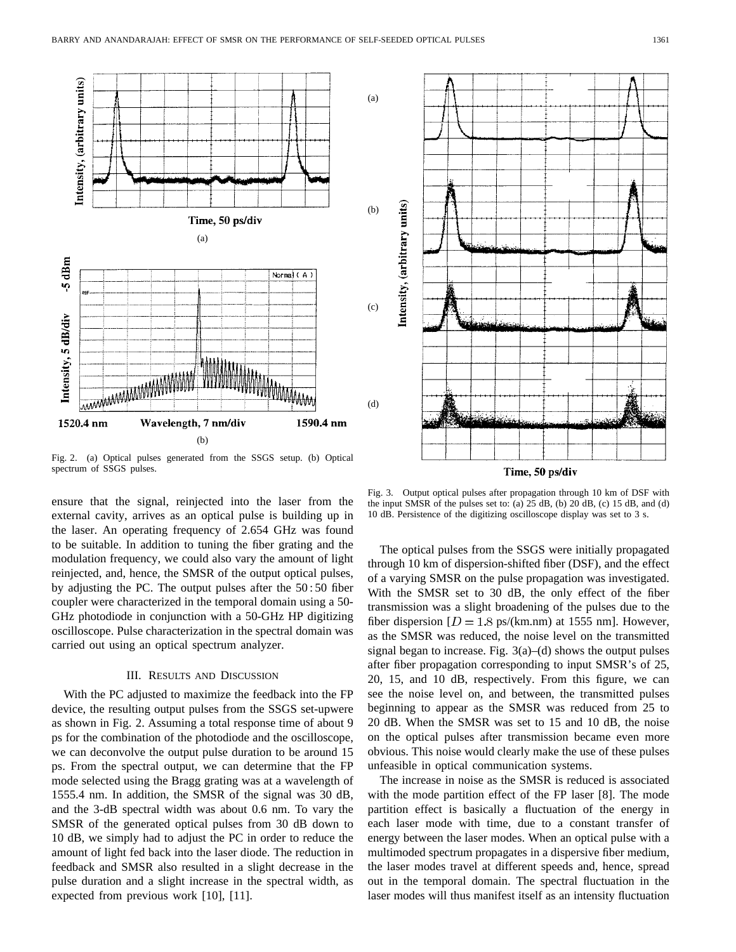

Fig. 2. (a) Optical pulses generated from the SSGS setup. (b) Optical spectrum of SSGS pulses.

ensure that the signal, reinjected into the laser from the external cavity, arrives as an optical pulse is building up in the laser. An operating frequency of 2.654 GHz was found to be suitable. In addition to tuning the fiber grating and the modulation frequency, we could also vary the amount of light reinjected, and, hence, the SMSR of the output optical pulses, by adjusting the PC. The output pulses after the 50 : 50 fiber coupler were characterized in the temporal domain using a 50- GHz photodiode in conjunction with a 50-GHz HP digitizing oscilloscope. Pulse characterization in the spectral domain was carried out using an optical spectrum analyzer.

### III. RESULTS AND DISCUSSION

With the PC adjusted to maximize the feedback into the FP device, the resulting output pulses from the SSGS set-upwere as shown in Fig. 2. Assuming a total response time of about 9 ps for the combination of the photodiode and the oscilloscope, we can deconvolve the output pulse duration to be around 15 ps. From the spectral output, we can determine that the FP mode selected using the Bragg grating was at a wavelength of 1555.4 nm. In addition, the SMSR of the signal was 30 dB, and the 3-dB spectral width was about 0.6 nm. To vary the SMSR of the generated optical pulses from 30 dB down to 10 dB, we simply had to adjust the PC in order to reduce the amount of light fed back into the laser diode. The reduction in feedback and SMSR also resulted in a slight decrease in the pulse duration and a slight increase in the spectral width, as expected from previous work [10], [11].



Fig. 3. Output optical pulses after propagation through 10 km of DSF with the input SMSR of the pulses set to: (a) 25 dB, (b) 20 dB, (c) 15 dB, and (d) 10 dB. Persistence of the digitizing oscilloscope display was set to 3 s.

The optical pulses from the SSGS were initially propagated through 10 km of dispersion-shifted fiber (DSF), and the effect of a varying SMSR on the pulse propagation was investigated. With the SMSR set to 30 dB, the only effect of the fiber transmission was a slight broadening of the pulses due to the fiber dispersion  $[D = 1.8 \text{ ps/(km.nm)}$  at 1555 nm]. However, as the SMSR was reduced, the noise level on the transmitted signal began to increase. Fig.  $3(a)$ –(d) shows the output pulses after fiber propagation corresponding to input SMSR's of 25, 20, 15, and 10 dB, respectively. From this figure, we can see the noise level on, and between, the transmitted pulses beginning to appear as the SMSR was reduced from 25 to 20 dB. When the SMSR was set to 15 and 10 dB, the noise on the optical pulses after transmission became even more obvious. This noise would clearly make the use of these pulses unfeasible in optical communication systems.

The increase in noise as the SMSR is reduced is associated with the mode partition effect of the FP laser [8]. The mode partition effect is basically a fluctuation of the energy in each laser mode with time, due to a constant transfer of energy between the laser modes. When an optical pulse with a multimoded spectrum propagates in a dispersive fiber medium, the laser modes travel at different speeds and, hence, spread out in the temporal domain. The spectral fluctuation in the laser modes will thus manifest itself as an intensity fluctuation